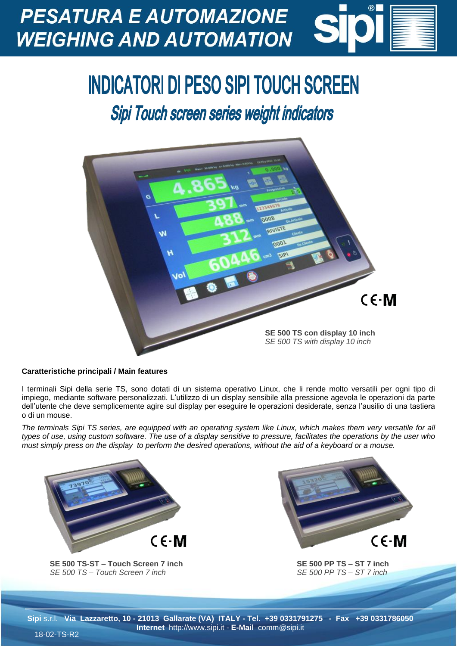## **PESATURA E AUTOMAZIONE WEIGHING AND AUTOMATION**

## **INDICATORI DI PESO SIPI TOUCH SCREEN**

**Sipi Touch screen series weight indicators** 



## **Caratteristiche principali / Main features**

I terminali Sipi della serie TS, sono dotati di un sistema operativo Linux, che li rende molto versatili per ogni tipo di impiego, mediante software personalizzati. L'utilizzo di un display sensibile alla pressione agevola le operazioni da parte dell'utente che deve semplicemente agire sul display per eseguire le operazioni desiderate, senza l'ausilio di una tastiera o di un mouse.

*The terminals Sipi TS series, are equipped with an operating system like Linux, which makes them very versatile for all types of use, using custom software. The use of a display sensitive to pressure, facilitates the operations by the user who must simply press on the display to perform the desired operations, without the aid of a keyboard or a mouse.*



**SE 500 TS-ST – Touch Screen 7 inch** *SE 500 TS – Touch Screen 7 inch*



**SE 500 PP TS – ST 7 inch** *SE 500 PP TS – ST 7 inch*

**Sipi** s.r.l. **Via Lazzaretto, 10 - 21013 Gallarate (VA) ITALY - Tel. +39 0331791275 - Fax +39 0331786050 Internet** http://www.sipi.it - **E-Mail** comm@sipi.it 18-02-TS-R2